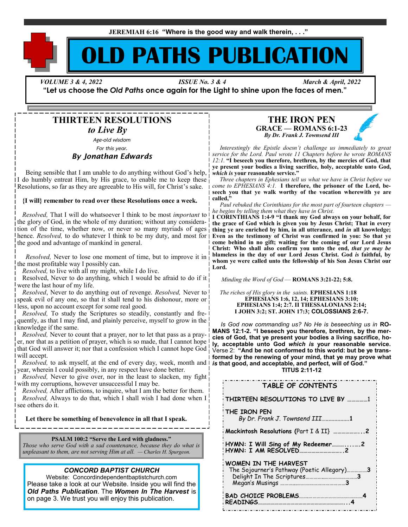**JEREMIAH 6:16 "Where is the good way and walk therein, . . ."**

# **OLD PATHS PUBLICATION**

 *VOLUME 3 & 4, 2022 ISSUE No. 3 & 4 March & April, 2022*

**"Let us choose the** *Old Paths* **once again for the Light to shine upon the faces of men."**

# **THIRTEEN RESOLUTIONS**

*to Live By*

*Age-old wisdom For this year.*

## *By Jonathan Edwards*

 Being sensible that I am unable to do anything without God's help, I do humbly entreat Him, by His grace, to enable me to keep these Resolutions, so far as they are agreeable to His will, for Christ's sake.

#### **{I will} remember to read over these Resolutions once a week.**

 *Resolved,* That I will do whatsoever I think to be most *important* to the glory of God, in the whole of my duration; without any consideration of the time, whether now, or never so many myriads of ages hence. *Resolved,* to do whatever I think to be my duty, and most for the good and advantage of mankind in general.

 *Resolved,* Never to lose one moment of time, but to improve it in the most profitable way I possibly can.

*Resolved,* to live with all my might, while I do live.

 Resolved, Never to do anything, which I would be afraid to do if it were the last hour of my life.

 *Resolved*, Never to do anything out of revenge. *Resolved,* Never to speak evil of any one, so that it shall tend to his dishonour, more or less, upon no account except for some real good.

*Resolved*, To study the Scriptures so steadily, constantly and frequently, as that I may find, and plainly perceive, myself to grow in the knowledge if the same.

 *Resolved,* Never to count that a prayer, nor to let that pass as a prayer, nor that as a petition of prayer, which is so made, that I cannot hope that God will answer it; nor that a confession which I cannot hope God will accept.

*Resolved*, to ask myself, at the end of every day, week, month and  $\overline{I}$ year, wherein I could possibly, in any respect have done better.

 *Resolved,* Never to give over, nor in the least to slacken, my fight with my corruptions, however unsuccessful I may be.

 *Resolved,* After afflictions, to inquire, what I am the better for them. *Resolved,* Always to do that, which I shall wish I had done when I see others do it.

**Let there be something of benevolence in all that I speak.** 

#### **PSALM 100:2 "Serve the Lord with gladness."**

*Those who serve God with a sad countenance, because they do what is unpleasant to them, are not serving Him at all. — Charles H. Spurgeon.*

#### *CONCORD BAPTIST CHURCH*

Website: Concordindependentbaptistchurch.com Please take a look at our Website. Inside you will find the *Old Paths Publication.* The *Women In The Harvest* is on page 3. We trust you will enjoy this publication.

## **THE IRON PEN GRACE — ROMANS 6:1-23** *By Dr. Frank J. Townsend III*

 *Interestingly the Epistle doesn't challenge us immediately to great service for the Lord. Paul wrote 11 Chapters before he wrote ROMANS 12:1.* **"I beseech you therefore, brethren, by the mercies of God, that ye present your bodies a living sacrifice, holy, acceptable unto God,**  *which is* **your reasonable service."**

*Three chapters in Ephesians tell us what we have in Christ before we come to EPHESIANS 4:1.* **I therefore, the prisoner of the Lord, beseech you that ye walk worthy of the vocation wherewith ye are called,"**

*Paul rebuked the Corinthians for the most part of fourteen chapters he begins by telling them what they have in Christ.* 

**I CORINTHIANS 1:4-9 "I thank my God always on your behalf, for the grace of God which is given you by Jesus Christ; That in every thing ye are enriched by him, in all utterance, and** *in* **all knowledge; Even as the testimony of Christ was confirmed in you: So that ye come behind in no gift; waiting for the coming of our Lord Jesus Christ: Who shall also confirm you unto the end,** *that ye may be* **blameless in the day of our Lord Jesus Christ. God** *is* **faithful, by whom ye were called unto the fellowship of his Son Jesus Christ our Lord.**

*Minding the Word of God* — **ROMANS 3:21-22; 5:8.**

 *The riches of His glory in the saints.* **EPHESIANS 1:18 EPHESIANS 1:6, 12, 14; EPHESIANS 3:10; EPHESIANS 1:4; 2:7. II THESSALONIANS 2:14; I JOHN 3:2; ST. JOHN 17:3; COLOSSIANS 2:6-7.** 

*Is God now commanding us? No He is beseeching us in* **RO-MANS 12:1-2. "I beseech you therefore, brethren, by the mercies of God, that ye present your bodies a living sacrifice, holy, acceptable unto God** *which is* **your reasonable service.**  Verse 2: **"And be not conformed to this world: but be ye transformed by the renewing of your mind, that ye may prove what**  *is* **that good, and acceptable, and perfect, will of God."**

**TITUS 2:11-12**

| TABLE OF CONTENTS                                                         |
|---------------------------------------------------------------------------|
| THIRTEEN RESOLUTIONS TO LIVE BY 1                                         |
| THE IRON PEN<br>By Dr. Frank J. Townsend III1                             |
|                                                                           |
| HYMN: I Will Sing of My Redeemer2                                         |
| <b>WOMEN IN THE HARVEST</b><br>The Sojourner's Pathway (Poetic Allegory)3 |
|                                                                           |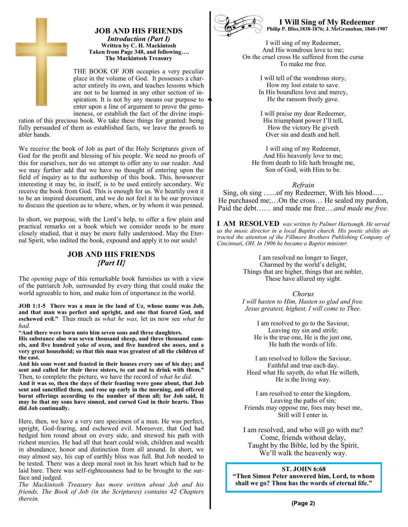

THE BOOK OF JOB occupies a very peculiar place in the volume of God. It possesses a character entirely its own, and teaches lessons which are not to be learned in any other section of inspiration. It is not by any means our purpose to enter upon a line of argument to prove the genuineness, or establish the fact of the divine inspi-

ration of this precious book. We take these things for granted: being fully persuaded of them as established facts, we leave the proofs to abler hands.

We receive the book of Job as part of the Holy Scriptures given of God for the profit and blessing of his people. We need no proofs of this for ourselves, nor do we attempt to offer any to our reader. And we may further add that we have no thought of entering upon the field of inquiry as to the authorship of this book. This, howsoever interesting it may be, in itself, is to be used entirely secondary. We receive the book from God. This is enough for us. We heartily own it to be an inspired document, and we do not feel it to be our province to discuss the question as to where, when, or by whom it was penned.

In short, we purpose, with the Lord's help, to offer a few plain and practical remarks on a book which we consider needs to be more closely studied, that it may be more fully understood. May the Eternal Spirit, who indited the book, expound and apply it to our souls!

# **JOB AND HIS FRIENDS** *{Part II}*

The *opening page* of this remarkable book furnishes us with a view of the patriarch Job, surrounded by every thing that could make the world agreeable to him, and make him of importance in the world.

**JOB 1:1-5 There was a man in the land of Uz, whose name was Job, and that man was perfect and upright, and one that feared God, and eschewed evil."** Thus much as *what he was,* let us now see *what he had.*

**"And there were born unto him seven sons and three daughters.** 

**His substance also was seven thousand sheep, and three thousand camels, and five hundred yoke of oxen, and five hundred she asses, and a very great household; so that this man was greatest of all the children of the east.** 

**And his sons went and feasted in their houses every one of his day; and sent and called for their three sisters, to eat and to drink with them."**  Then, to complete the picture, we have the record of *what he did.*

**And it was so, then the days of their feasting were gone about, that Job sent and sanctified them, and rose up early in the morning, and offered burnt offerings according to the number of them all; for Job said, It may be that my sons have sinned, and cursed God in their hearts. Thus did Job continually.**

Here, then, we have a very rare specimen of a man. He was perfect, upright, God-fearing, and eschewed evil. Moreover, that God had hedged him round about on every side, and strewed his path with richest mercies. He had all that heart could wish, children and wealth in abundance, honor and distinction from all around. In short, we may almost say, his cup of earthly bliss was full. But Job needed to be tested. There was a deep moral root in his heart which had to be laid bare. There was self-righteousness had to be brought to the surface and judged.

*The Mackintosh Treasury has more written about Job and his friends. The Book of Job (in the Scriptures) contains 42 Chapters therein.*



**I Will Sing of My Redeemer Philip P. Bliss,1838-1876; J. McGranahan, 1840-1907**

I will sing of my Redeemer, And His wondrous love to me; On the cruel cross He suffered from the curse To make me free.

> I will tell of the wondrous story, How my lost estate to save. In His boundless love and mercy, He the ransom freely gave.

I will praise my dear Redeemer, His triumphant power I'll tell, How the victory He giveth Over sin and death and hell.

I will sing of my Redeemer, And His heavenly love to me; He from death to life hath brought me, Son of God, with Him to be.

*Refrain*

Sing, oh sing …...of my Redeemer, With his blood….. He purchased me;…On the cross… He sealed my pardon, Paid the debt…… and made me free….*and made me free.*

**I AM RESOLVED** *was written by Palmer Hartsough. He served as the music director in a local Baptist church. His poetic ability attracted the attention of the Fillmore Brothers Publishing Company of Cincinnati, OH. In 1906 he became a Baptist minister.*

> I am resolved no longer to linger, Charmed by the world's delight; Things that are higher, things that are nobler, These have allured my sight.

> > *Chorus*

*I will hasten to Him, Hasten so glad and free. Jesus greatest, highest, I will come to Thee.*

> I am resolved to go to the Saviour, Leaving my sin and strife; He is the true one, He is the just one, He hath the words of life.

I am resolved to follow the Saviour, Faithful and true each day. Heed what He sayeth, do what He willeth, He is the living way.

I am resolved to enter the kingdom, Leaving the paths of sin; Friends may oppose me, foes may beset me, Still will I enter in.

I am resolved, and who will go with me? Come, friends without delay, Taught by the Bible, led by the Spirit, We'll walk the heavenly way.

**ST. JOHN 6:68 "Then Simon Peter answered him, Lord, to whom shall we go? Thou has the words of eternal life."**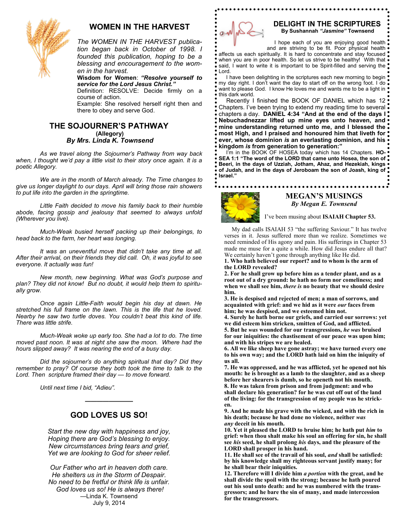

# **WOMEN IN THE HARVEST**

*The WOMEN IN THE HARVEST publication began back in October of 1998. I founded this publication, hoping to be a blessing and encouragement to the women in the harvest.*

**Wisdom for Women**: *"Resolve yourself to service for the Lord Jesus Christ."*

Definition: RESOLVE: Decide firmly on a course of action.

Example: She resolved herself right then and there to obey and serve God.

# **THE SOJOURNER'S PATHWAY (Allegory)** *By Mrs. Linda K. Townsend*

 *As we travel along the Sojourner's Pathway from way back when, I thought we'd pay a little visit to their story once again. It is a poetic Allegory.*

 *We are in the month of March already. The Time changes to give us longer daylight to our days. April will bring those rain showers to put life into the garden in the springtime.* 

*Little Faith decided to move his family back to their humble abode, facing gossip and jealousy that seemed to always unfold (Wherever you live).*

*Much-Weak busied herself packing up their belongings, to head back to the farm, her heart was longing.*

*It was an uneventful move that didn't take any time at all. After their arrival, on their friends they did call. Oh, it was joyful to see everyone. It actually was fun!*

*New month, new beginning. What was God's purpose and plan? They did not know! But no doubt, it would help them to spiritually grow.* 

*Once again Little-Faith would begin his day at dawn. He stretched his full frame on the lawn. This is the life that he loved. Nearby he saw two turtle doves. You couldn't beat this kind of life. There was little strife.*

*Much-Weak woke up early too. She had a lot to do. The time moved past noon. It was at night she saw the moon. Where had the hours slipped away? It was nearing the end of a busy day.*

*Did the sojourner's do anything spiritual that day? Did they remember to pray? Of course they both took the time to talk to the Lord. Then scripture framed their day — to move forward.*

 *Until next time I bid, "Adieu".*

# **GOD LOVES US SO!**

**————————**

*Start the new day with happiness and joy, Hoping there are God's blessing to enjoy. New circumstances bring tears and grief, Yet we are looking to God for sheer relief.*

*Our Father who art in heaven doth care. He shelters us in the Storm of Despair. No need to be fretful or think life is unfair. God loves us so! He is always there!* —Linda K. Townsend July 9, 2014



#### **DELIGHT IN THE SCRIPTURES By Sushannah** *"Jasmine"* **Townsend**

I hope each of you are enjoying good health . and are striving to be fit. Poor physical health .

affects us each spiritually. It is hard to concentrate and stay focused . when you are in poor health. So let us strive to be healthy! With that  $\bullet$ said, I want to write it is important to be Spirit-filled and serving the Lord.

I have been delighting in the scriptures each new morning to begin my day right. I don't want the day to start off on the wrong foot. I do . want to please God. I know He loves me and wants me to be a light in  $\bullet$ this dark world.

Recently I finished the BOOK OF DANIEL which has 12 Chapters. I've been trying to extend my reading time to several chapters a day. **DANIEL 4:34 "And at the end of the days I Nebuchadnezzar lifted up mine eyes unto heaven, and mine understanding returned unto me, and I blessed the most High, and I praised and honoured him that liveth for ever, whose dominion** *is* **an everlasting dominion, and his kingdom** *is* **from generation to generation:"**

 I'm in the BOOK OF HOSEA today which has 14 Chapters. **HO-SEA 1:1 "The word of the LORD that came unto Hosea, the son of Beeri, in the days of Uzziah, Jotham, Ahaz, and Hezekiah, kings of Judah, and in the days of Jeroboam the son of Joash, king of Israel."**

#### 



# **MEGAN'S MUSINGS** *By Megan E. Townsend*

I've been musing about **ISAIAH Chapter 53.**

 My dad calls ISAIAH 53 "the suffering Saviour." It has twelve verses in it. Jesus suffered more than we realize. Sometimes we need reminded of His agony and pain. His sufferings in Chapter 53 made me muse for a quite a while. How did Jesus endure all that? We certainly haven't gone through anything like He did.

**1. Who hath believed our report? and to whom is the arm of the LORD revealed?** 

**2. For he shall grow up before him as a tender plant, and as a root out of a dry ground: he hath no form nor comeliness; and when we shall see him,** *there is* **no beauty that we should desire him.** 

**3. He is despised and rejected of men; a man of sorrows, and acquainted with grief: and we hid as it were** *our* **faces from him; he was despised, and we esteemed him not.**

**4. [Surely he hath borne our griefs, and carried our sorrows: yet](https://www.kingjamesbibleonline.org/Isaiah-53-4/)  [we did esteem him stricken, smitten of God, and afflicted.](https://www.kingjamesbibleonline.org/Isaiah-53-4/)** 

**5. But he** *was* **[wounded for our transgressions,](https://www.kingjamesbibleonline.org/Isaiah-53-4/)** *he was* **bruised [for our iniquities: the chastisement of our peace](https://www.kingjamesbibleonline.org/Isaiah-53-4/) was upon him; [and with his stripes we are healed.](https://www.kingjamesbibleonline.org/Isaiah-53-4/)** 

**[6. All we like sheep have gone astray; we have turned every one](https://www.kingjamesbibleonline.org/Isaiah-53-4/)  [to his own way; and the LORD hath laid on him the iniquity of](https://www.kingjamesbibleonline.org/Isaiah-53-4/)  [us all.](https://www.kingjamesbibleonline.org/Isaiah-53-4/)** 

**[7. He was oppressed, and he was afflicted, yet he opened not his](https://www.kingjamesbibleonline.org/Isaiah-53-4/)  [mouth: he is brought as a lamb to the slaughter, and as a sheep](https://www.kingjamesbibleonline.org/Isaiah-53-4/)  [before her shearers is dumb, so he openeth not his mouth.](https://www.kingjamesbibleonline.org/Isaiah-53-4/)** 

**[8. He was taken from prison and from judgment: and who](https://www.kingjamesbibleonline.org/Isaiah-53-4/)  [shall declare his generation? for he was cut off out of the land](https://www.kingjamesbibleonline.org/Isaiah-53-4/)  [of the living: for the transgression of my people was he strick](https://www.kingjamesbibleonline.org/Isaiah-53-4/)[en.](https://www.kingjamesbibleonline.org/Isaiah-53-4/)** 

**[9. And he made his grave with the wicked, and with the rich in](https://www.kingjamesbibleonline.org/Isaiah-53-4/)  [his death; because he had done no violence, neither](https://www.kingjamesbibleonline.org/Isaiah-53-4/)** *was any* **[deceit in his mouth.](https://www.kingjamesbibleonline.org/Isaiah-53-4/)** 

**[10. Yet it pleased the LORD to bruise him; he hath put](https://www.kingjamesbibleonline.org/Isaiah-53-4/)** *him* **to [grief: when thou shalt make his soul an offering for sin, he shall](https://www.kingjamesbibleonline.org/Isaiah-53-4/)  see** *his* **seed, he shall prolong** *his* **[days, and the pleasure of the](https://www.kingjamesbibleonline.org/Isaiah-53-4/)  [LORD shall prosper in his hand.](https://www.kingjamesbibleonline.org/Isaiah-53-4/)** 

**[11. He shall see of the travail of his soul,](https://www.kingjamesbibleonline.org/Isaiah-53-4/)** *and* **shall be satisfied: [by his knowledge shall my righteous servant justify many; for](https://www.kingjamesbibleonline.org/Isaiah-53-4/)  [he shall bear their iniquities.](https://www.kingjamesbibleonline.org/Isaiah-53-4/)** 

**[12. Therefore will I divide him](https://www.kingjamesbibleonline.org/Isaiah-53-4/)** *a portion* **with the great, and he [shall divide the spoil with the strong; because he hath poured](https://www.kingjamesbibleonline.org/Isaiah-53-4/)  [out his soul unto death: and he was numbered with the trans](https://www.kingjamesbibleonline.org/Isaiah-53-4/)[gressors; and he bare the sin of many, and made intercession](https://www.kingjamesbibleonline.org/Isaiah-53-4/)  [for the transgressors.](https://www.kingjamesbibleonline.org/Isaiah-53-4/)**